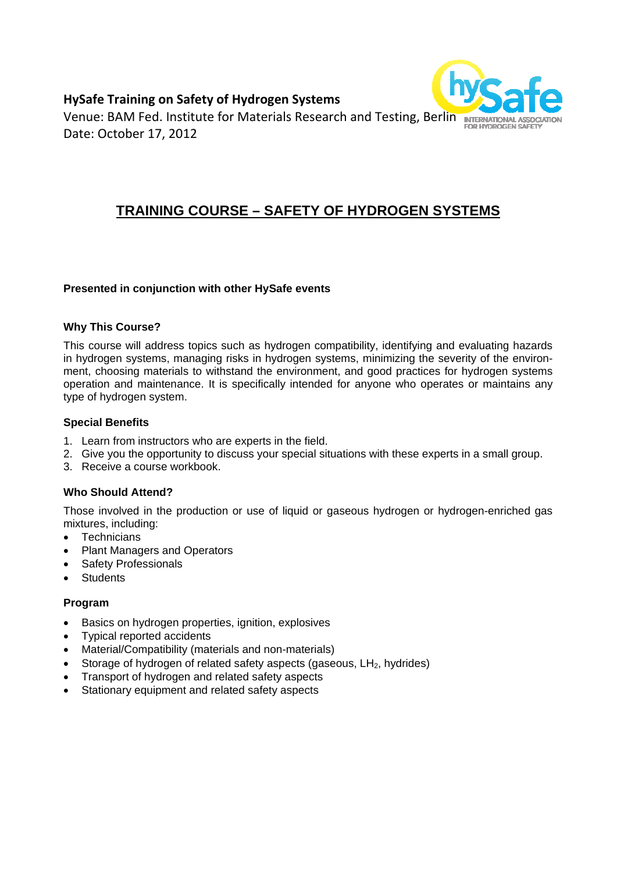## **HySafe Training on Safety of Hydrogen Systems**



Venue: BAM Fed. Institute for Materials Research and Testing, Berlin INTERNATIONAL ASSOCIATIO Date: October 17, 2012

# **TRAINING COURSE – SAFETY OF HYDROGEN SYSTEMS**

#### **Presented in conjunction with other HySafe events**

#### **Why This Course?**

This course will address topics such as hydrogen compatibility, identifying and evaluating hazards in hydrogen systems, managing risks in hydrogen systems, minimizing the severity of the environment, choosing materials to withstand the environment, and good practices for hydrogen systems operation and maintenance. It is specifically intended for anyone who operates or maintains any type of hydrogen system.

#### **Special Benefits**

- 1. Learn from instructors who are experts in the field.
- 2. Give you the opportunity to discuss your special situations with these experts in a small group.
- 3. Receive a course workbook.

#### **Who Should Attend?**

Those involved in the production or use of liquid or gaseous hydrogen or hydrogen-enriched gas mixtures, including:

- Technicians
- Plant Managers and Operators
- Safety Professionals
- Students

#### **Program**

- Basics on hydrogen properties, ignition, explosives
- Typical reported accidents
- Material/Compatibility (materials and non-materials)
- Storage of hydrogen of related safety aspects (gaseous, LH<sub>2</sub>, hydrides)
- Transport of hydrogen and related safety aspects
- Stationary equipment and related safety aspects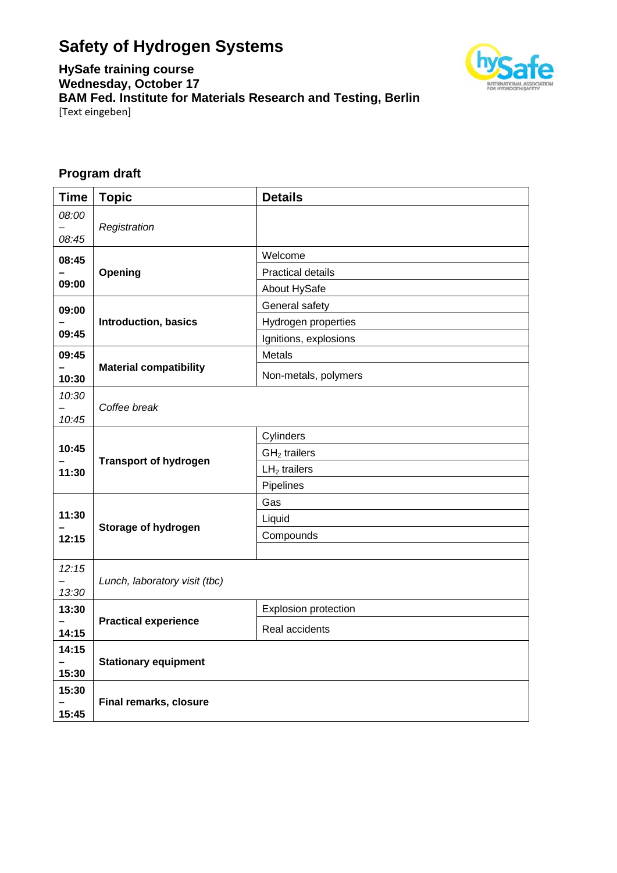# **Safety of Hydrogen Systems**



**HySafe training course Wednesday, October 17 BAM Fed. Institute for Materials Research and Testing, Berlin**  [Text eingeben]

# **Program draft**

| <b>Time</b>    | <b>Topic</b>                  | <b>Details</b>           |
|----------------|-------------------------------|--------------------------|
| 08:00<br>08:45 | Registration                  |                          |
| 08:45          |                               | Welcome                  |
|                | Opening                       | <b>Practical details</b> |
| 09:00          |                               | About HySafe             |
| 09:00          |                               | General safety           |
|                | <b>Introduction, basics</b>   | Hydrogen properties      |
| 09:45          |                               | Ignitions, explosions    |
| 09:45          |                               | Metals                   |
| 10:30          | <b>Material compatibility</b> | Non-metals, polymers     |
| 10:30          |                               |                          |
| 10:45          | Coffee break                  |                          |
|                |                               | Cylinders                |
| 10:45          |                               | $GH2$ trailers           |
| 11:30          | <b>Transport of hydrogen</b>  | $LH2$ trailers           |
|                |                               | Pipelines                |
|                |                               | Gas                      |
| 11:30          | Storage of hydrogen           | Liquid                   |
| 12:15          |                               | Compounds                |
|                |                               |                          |
| 12:15          | Lunch, laboratory visit (tbc) |                          |
| 13:30          |                               |                          |
| 13:30          |                               | Explosion protection     |
| 14:15          | <b>Practical experience</b>   | Real accidents           |
| 14:15          |                               |                          |
|                | <b>Stationary equipment</b>   |                          |
| 15:30          |                               |                          |
| 15:30          | Final remarks, closure        |                          |
| 15:45          |                               |                          |